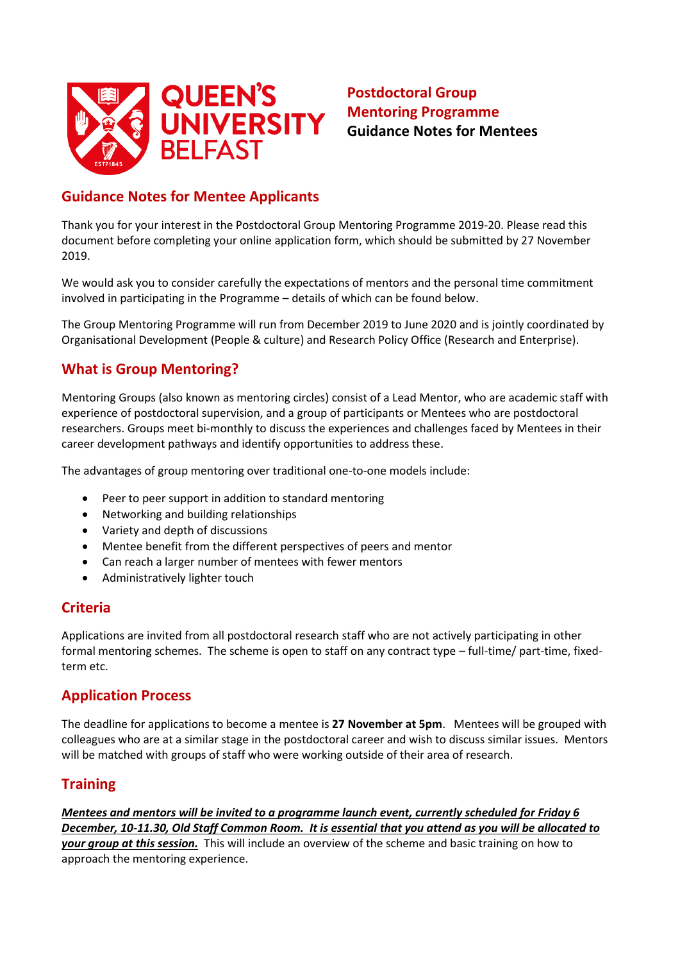

# **Postdoctoral Group Mentoring Programme Guidance Notes for Mentees**

## **Guidance Notes for Mentee Applicants**

Thank you for your interest in the Postdoctoral Group Mentoring Programme 2019-20. Please read this document before completing your online application form, which should be submitted by 27 November 2019.

We would ask you to consider carefully the expectations of mentors and the personal time commitment involved in participating in the Programme – details of which can be found below.

The Group Mentoring Programme will run from December 2019 to June 2020 and is jointly coordinated by Organisational Development (People & culture) and Research Policy Office (Research and Enterprise).

### **What is Group Mentoring?**

Mentoring Groups (also known as mentoring circles) consist of a Lead Mentor, who are academic staff with experience of postdoctoral supervision, and a group of participants or Mentees who are postdoctoral researchers. Groups meet bi-monthly to discuss the experiences and challenges faced by Mentees in their career development pathways and identify opportunities to address these.

The advantages of group mentoring over traditional one-to-one models include:

- Peer to peer support in addition to standard mentoring
- Networking and building relationships
- Variety and depth of discussions
- Mentee benefit from the different perspectives of peers and mentor
- Can reach a larger number of mentees with fewer mentors
- Administratively lighter touch

#### **Criteria**

Applications are invited from all postdoctoral research staff who are not actively participating in other formal mentoring schemes. The scheme is open to staff on any contract type – full-time/ part-time, fixedterm etc.

### **Application Process**

The deadline for applications to become a mentee is **27 November at 5pm**. Mentees will be grouped with colleagues who are at a similar stage in the postdoctoral career and wish to discuss similar issues. Mentors will be matched with groups of staff who were working outside of their area of research.

### **Training**

*Mentees and mentors will be invited to a programme launch event, currently scheduled for Friday 6 December, 10-11.30, Old Staff Common Room. It is essential that you attend as you will be allocated to your group at this session.* This will include an overview of the scheme and basic training on how to approach the mentoring experience.